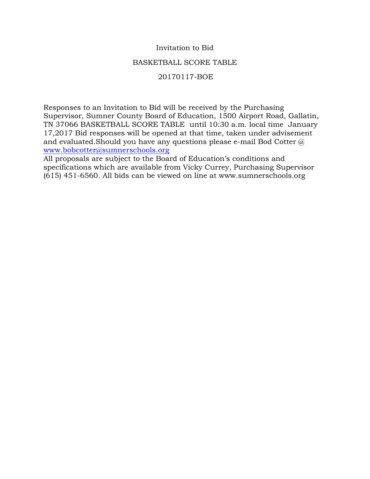## Invitation to Bid

# BASKETBALL SCORE TABLE

# 20170117-BOE

Responses to an Invitation to Bid will be received by the Purchasing Supervisor, Sumner County Board of Education, 1500 Airport Road, Gallatin, TN 37066 BASKETBALL SCORE TABLE until 10:30 a.m. local time January 17,2017 Bid responses will be opened at that time, taken under advisement and evaluated.Should you have any questions please e-mail Bod Cotter @ [www.bobcotter@sumnerschools.org](http://www.bobcotter@sumnerschools.org)

All proposals are subject to the Board of Education's conditions and specifications which are available from Vicky Currey, Purchasing Supervisor (615) 451-6560. All bids can be viewed on line at www.sumnerschools.org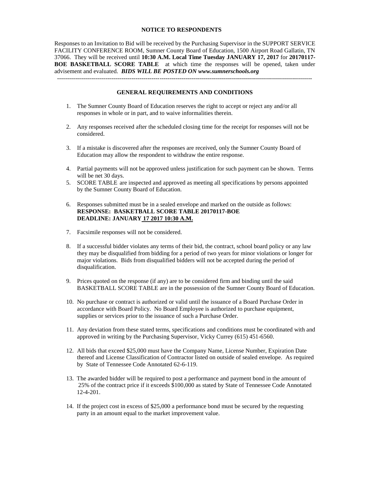#### **NOTICE TO RESPONDENTS**

Responses to an Invitation to Bid will be received by the Purchasing Supervisor in the SUPPORT SERVICE FACILITY CONFERENCE ROOM, Sumner County Board of Education, 1500 Airport Road Gallatin, TN 37066. They will be received until **10:30 A.M. Local Time Tuesday JANUARY 17, 2017** for **20170117- BOE BASKETBALL SCORE TABLE** at which time the responses will be opened, taken under advisement and evaluated. *BIDS WILL BE POSTED ON www.sumnerschools.org*

#### **GENERAL REQUIREMENTS AND CONDITIONS**

-------------------------------------------------------------------------------------------------------------------------------

- 1. The Sumner County Board of Education reserves the right to accept or reject any and/or all responses in whole or in part, and to waive informalities therein.
- 2. Any responses received after the scheduled closing time for the receipt for responses will not be considered.
- 3. If a mistake is discovered after the responses are received, only the Sumner County Board of Education may allow the respondent to withdraw the entire response.
- 4. Partial payments will not be approved unless justification for such payment can be shown. Terms will be net 30 days.
- 5. SCORE TABLE are inspected and approved as meeting all specifications by persons appointed by the Sumner County Board of Education.
- 6. Responses submitted must be in a sealed envelope and marked on the outside as follows: **RESPONSE: BASKETBALL SCORE TABLE 20170117-BOE DEADLINE: JANUARY 17 2017 10:30 A.M.**
- 7. Facsimile responses will not be considered.
- 8. If a successful bidder violates any terms of their bid, the contract, school board policy or any law they may be disqualified from bidding for a period of two years for minor violations or longer for major violations. Bids from disqualified bidders will not be accepted during the period of disqualification.
- 9. Prices quoted on the response (if any) are to be considered firm and binding until the said BASKETBALL SCORE TABLE are in the possession of the Sumner County Board of Education.
- 10. No purchase or contract is authorized or valid until the issuance of a Board Purchase Order in accordance with Board Policy. No Board Employee is authorized to purchase equipment, supplies or services prior to the issuance of such a Purchase Order.
- 11. Any deviation from these stated terms, specifications and conditions must be coordinated with and approved in writing by the Purchasing Supervisor, Vicky Currey (615) 451-6560.
- 12. All bids that exceed \$25,000 must have the Company Name, License Number, Expiration Date thereof and License Classification of Contractor listed on outside of sealed envelope. As required by State of Tennessee Code Annotated 62-6-119.
- 13. The awarded bidder will be required to post a performance and payment bond in the amount of 25% of the contract price if it exceeds \$100,000 as stated by State of Tennessee Code Annotated 12-4-201.
- 14. If the project cost in excess of \$25,000 a performance bond must be secured by the requesting party in an amount equal to the market improvement value.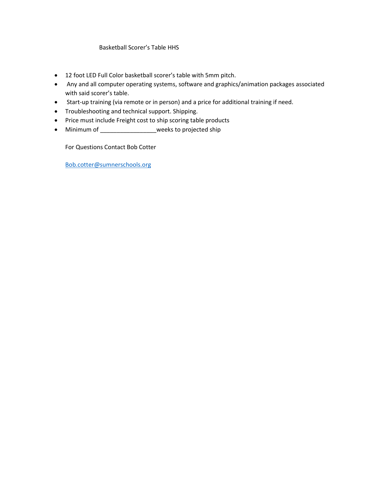### Basketball Scorer's Table HHS

- 12 foot LED Full Color basketball scorer's table with 5mm pitch.
- Any and all computer operating systems, software and graphics/animation packages associated with said scorer's table.
- Start-up training (via remote or in person) and a price for additional training if need.
- Troubleshooting and technical support. Shipping.
- Price must include Freight cost to ship scoring table products
- Minimum of \_\_\_\_\_\_\_\_\_\_\_\_\_\_\_\_\_\_\_weeks to projected ship

For Questions Contact Bob Cotter

[Bob.cotter@sumnerschools.org](mailto:Bob.cotter@sumnerschools.org)